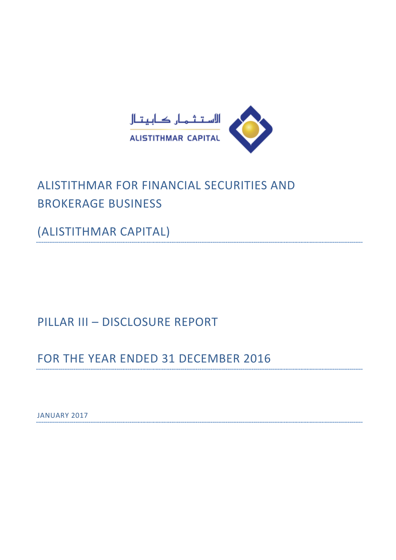

# ALISTITHMAR FOR FINANCIAL SECURITIES AND BROKERAGE BUSINESS

(ALISTITHMAR CAPITAL)

# PILLAR III – DISCLOSURE REPORT

FOR THE YEAR ENDED 31 DECEMBER 2016

JANUARY 2017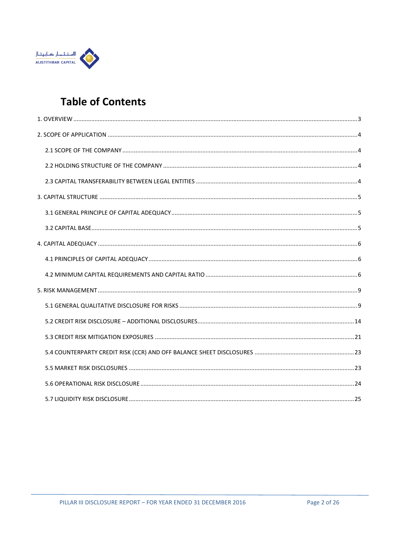

# **Table of Contents**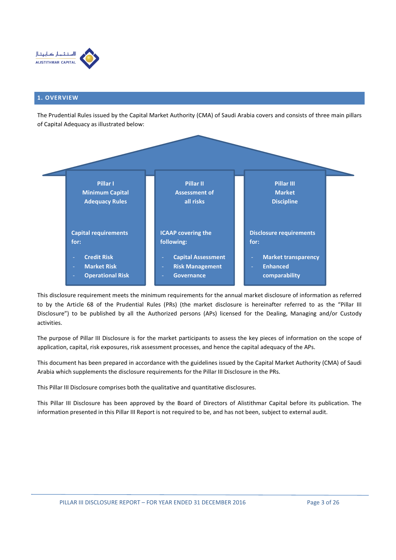

### 1. OVERVIEW

The Prudential Rules issued by the Capital Market Authority (CMA) of Saudi Arabia covers and consists of three main pillars of Capital Adequacy as illustrated below:



This disclosure requirement meets the minimum requirements for the annual market disclosure of information as referred to by the Article 68 of the Prudential Rules (PRs) (the market disclosure is hereinafter referred to as the "Pillar III Disclosure") to be published by all the Authorized persons (APs) licensed for the Dealing, Managing and/or Custody activities.

The purpose of Pillar III Disclosure is for the market participants to assess the key pieces of information on the scope of application, capital, risk exposures, risk assessment processes, and hence the capital adequacy of the APs.

This document has been prepared in accordance with the guidelines issued by the Capital Market Authority (CMA) of Saudi Arabia which supplements the disclosure requirements for the Pillar III Disclosure in the PRs.

This Pillar III Disclosure comprises both the qualitative and quantitative disclosures.

This Pillar III Disclosure has been approved by the Board of Directors of Alistithmar Capital before its publication. The information presented in this Pillar III Report is not required to be, and has not been, subject to external audit.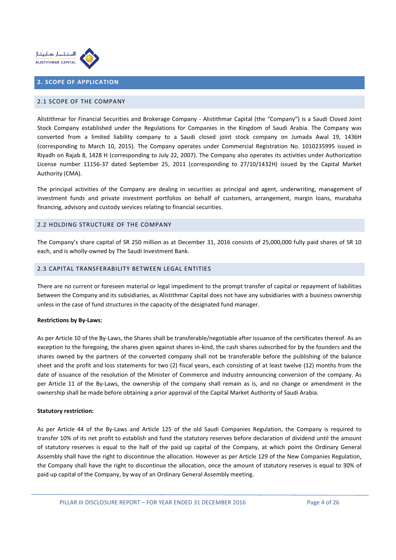

## 2. SCOPE OF APPLICATION

#### 2.1 SCOPE OF THE COMPANY

Alistithmar for Financial Securities and Brokerage Company - Alistithmar Capital (the "Company") is a Saudi Closed Joint Stock Company established under the Regulations for Companies in the Kingdom of Saudi Arabia. The Company was converted from a limited liability company to a Saudi closed joint stock company on Jumada Awal 19, 1436H (corresponding to March 10, 2015). The Company operates under Commercial Registration No. 1010235995 issued in Riyadh on Rajab 8, 1428 H (corresponding to July 22, 2007). The Company also operates its activities under Authorization License number 11156-37 dated September 25, 2011 (corresponding to 27/10/1432H) issued by the Capital Market Authority (CMA).

The principal activities of the Company are dealing in securities as principal and agent, underwriting, management of investment funds and private investment portfolios on behalf of customers, arrangement, margin loans, murabaha financing, advisory and custody services relating to financial securities.

#### 2.2 HOLDING STRUCTURE OF THE COMPANY

The Company's share capital of SR 250 million as at December 31, 2016 consists of 25,000,000 fully paid shares of SR 10 each, and is wholly-owned by The Saudi Investment Bank.

#### 2.3 CAPITAL TRANSFERABILITY BETWEEN LEGAL ENTITIES

There are no current or foreseen material or legal impediment to the prompt transfer of capital or repayment of liabilities between the Company and its subsidiaries, as Alistithmar Capital does not have any subsidiaries with a business ownership unless in the case of fund structures in the capacity of the designated fund manager.

#### Restrictions by By-Laws:

As per Article 10 of the By-Laws, the Shares shall be transferable/negotiable after issuance of the certificates thereof. As an exception to the foregoing, the shares given against shares in-kind, the cash shares subscribed for by the founders and the shares owned by the partners of the converted company shall not be transferable before the publishing of the balance sheet and the profit and loss statements for two (2) fiscal years, each consisting of at least twelve (12) months from the date of issuance of the resolution of the Minister of Commerce and Industry announcing conversion of the company. As per Article 11 of the By-Laws, the ownership of the company shall remain as is, and no change or amendment in the ownership shall be made before obtaining a prior approval of the Capital Market Authority of Saudi Arabia.

#### Statutory restriction:

As per Article 44 of the By-Laws and Article 125 of the old Saudi Companies Regulation, the Company is required to transfer 10% of its net profit to establish and fund the statutory reserves before declaration of dividend until the amount of statutory reserves is equal to the half of the paid up capital of the Company, at which point the Ordinary General Assembly shall have the right to discontinue the allocation. However as per Article 129 of the New Companies Regulation, the Company shall have the right to discontinue the allocation, once the amount of statutory reserves is equal to 30% of paid up capital of the Company, by way of an Ordinary General Assembly meeting.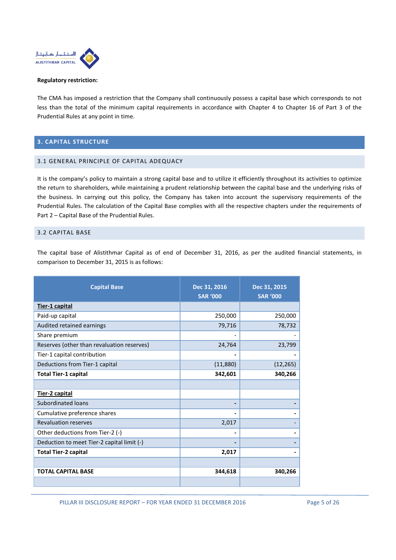

#### Regulatory restriction:

The CMA has imposed a restriction that the Company shall continuously possess a capital base which corresponds to not less than the total of the minimum capital requirements in accordance with Chapter 4 to Chapter 16 of Part 3 of the Prudential Rules at any point in time.

## 3. CAPITAL STRUCTURE

## 3.1 GENERAL PRINCIPLE OF CAPITAL ADEQUACY

It is the company's policy to maintain a strong capital base and to utilize it efficiently throughout its activities to optimize the return to shareholders, while maintaining a prudent relationship between the capital base and the underlying risks of the business. In carrying out this policy, the Company has taken into account the supervisory requirements of the Prudential Rules. The calculation of the Capital Base complies with all the respective chapters under the requirements of Part 2 – Capital Base of the Prudential Rules.

#### 3.2 CAPITAL BASE

The capital base of Alistithmar Capital as of end of December 31, 2016, as per the audited financial statements, in comparison to December 31, 2015 is as follows:

| <b>Capital Base</b>                        | Dec 31, 2016<br><b>SAR '000</b> | Dec 31, 2015<br><b>SAR '000</b> |  |
|--------------------------------------------|---------------------------------|---------------------------------|--|
| Tier-1 capital                             |                                 |                                 |  |
| Paid-up capital                            | 250,000                         | 250,000                         |  |
| Audited retained earnings                  | 79,716                          | 78,732                          |  |
| Share premium                              | $\overline{a}$                  |                                 |  |
| Reserves (other than revaluation reserves) | 24,764                          | 23,799                          |  |
| Tier-1 capital contribution                |                                 |                                 |  |
| Deductions from Tier-1 capital             | (11,880)                        | (12, 265)                       |  |
| <b>Total Tier-1 capital</b>                | 342,601                         | 340,266                         |  |
|                                            |                                 |                                 |  |
| Tier-2 capital                             |                                 |                                 |  |
| <b>Subordinated loans</b>                  | $\overline{\phantom{0}}$        |                                 |  |
| Cumulative preference shares               | $\overline{\phantom{0}}$        |                                 |  |
| <b>Revaluation reserves</b>                | 2,017                           |                                 |  |
| Other deductions from Tier-2 (-)           | $\qquad \qquad \blacksquare$    |                                 |  |
| Deduction to meet Tier-2 capital limit (-) |                                 |                                 |  |
| <b>Total Tier-2 capital</b>                | 2,017                           |                                 |  |
|                                            |                                 |                                 |  |
| <b>TOTAL CAPITAL BASE</b>                  | 344,618                         | 340,266                         |  |
|                                            |                                 |                                 |  |

PILLAR III DISCLOSURE REPORT – FOR YEAR ENDED 31 DECEMBER 2016 Page 5 of 26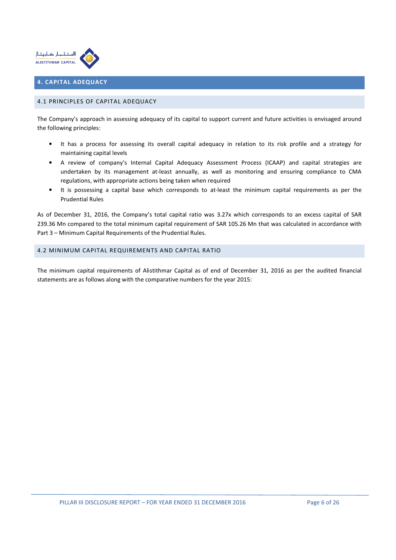

## 4. CAPITAL ADEQUACY

## 4.1 PRINCIPLES OF CAPITAL ADEQUACY

The Company's approach in assessing adequacy of its capital to support current and future activities is envisaged around the following principles:

- It has a process for assessing its overall capital adequacy in relation to its risk profile and a strategy for maintaining capital levels
- A review of company's Internal Capital Adequacy Assessment Process (ICAAP) and capital strategies are undertaken by its management at-least annually, as well as monitoring and ensuring compliance to CMA regulations, with appropriate actions being taken when required
- It is possessing a capital base which corresponds to at-least the minimum capital requirements as per the Prudential Rules

As of December 31, 2016, the Company's total capital ratio was 3.27x which corresponds to an excess capital of SAR 239.36 Mn compared to the total minimum capital requirement of SAR 105.26 Mn that was calculated in accordance with Part 3 – Minimum Capital Requirements of the Prudential Rules.

## 4.2 MINIMUM CAPITAL REQUIREMENTS AND CAPITAL RATIO

The minimum capital requirements of Alistithmar Capital as of end of December 31, 2016 as per the audited financial statements are as follows along with the comparative numbers for the year 2015: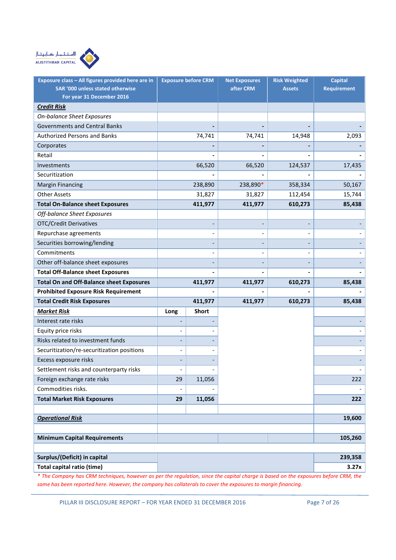

| Exposure class - All figures provided here are in<br>SAR '000 unless stated otherwise |      | <b>Exposure before CRM</b> | <b>Net Exposures</b><br>after CRM | <b>Risk Weighted</b><br><b>Assets</b> | <b>Capital</b><br><b>Requirement</b> |
|---------------------------------------------------------------------------------------|------|----------------------------|-----------------------------------|---------------------------------------|--------------------------------------|
| For year 31 December 2016                                                             |      |                            |                                   |                                       |                                      |
| <b>Credit Risk</b>                                                                    |      |                            |                                   |                                       |                                      |
| On-balance Sheet Exposures                                                            |      |                            |                                   |                                       |                                      |
| <b>Governments and Central Banks</b>                                                  |      |                            |                                   |                                       |                                      |
| <b>Authorized Persons and Banks</b>                                                   |      | 74,741                     | 74,741                            | 14,948                                | 2,093                                |
| Corporates                                                                            |      |                            |                                   |                                       |                                      |
| Retail                                                                                |      |                            |                                   |                                       |                                      |
| Investments                                                                           |      | 66,520                     | 66,520                            | 124,537                               | 17,435                               |
| Securitization                                                                        |      |                            |                                   |                                       |                                      |
| <b>Margin Financing</b>                                                               |      | 238,890                    | 238,890*                          | 358,334                               | 50,167                               |
| <b>Other Assets</b>                                                                   |      | 31,827                     | 31,827                            | 112,454                               | 15,744                               |
| <b>Total On-Balance sheet Exposures</b>                                               |      | 411,977                    | 411,977                           | 610,273                               | 85,438                               |
| Off-balance Sheet Exposures                                                           |      |                            |                                   |                                       |                                      |
| <b>OTC/Credit Derivatives</b>                                                         |      |                            |                                   |                                       |                                      |
| Repurchase agreements                                                                 |      |                            |                                   |                                       |                                      |
| Securities borrowing/lending                                                          |      |                            |                                   |                                       |                                      |
| Commitments                                                                           |      | $\overline{\phantom{0}}$   |                                   |                                       |                                      |
| Other off-balance sheet exposures                                                     |      |                            |                                   |                                       |                                      |
| <b>Total Off-Balance sheet Exposures</b>                                              |      |                            |                                   |                                       |                                      |
| <b>Total On and Off-Balance sheet Exposures</b>                                       |      | 411,977                    | 411,977                           | 610,273                               | 85,438                               |
| <b>Prohibited Exposure Risk Requirement</b>                                           |      |                            |                                   |                                       |                                      |
| <b>Total Credit Risk Exposures</b>                                                    |      | 411,977                    | 411,977                           | 610,273                               | 85,438                               |
| <b>Market Risk</b>                                                                    | Long | <b>Short</b>               |                                   |                                       |                                      |
| Interest rate risks                                                                   |      |                            |                                   |                                       |                                      |
| Equity price risks                                                                    |      |                            |                                   |                                       |                                      |
| Risks related to investment funds                                                     |      |                            |                                   |                                       |                                      |
| Securitization/re-securitization positions                                            |      |                            |                                   |                                       |                                      |
| Excess exposure risks                                                                 |      |                            |                                   |                                       |                                      |
| Settlement risks and counterparty risks                                               |      |                            |                                   |                                       |                                      |
| Foreign exchange rate risks                                                           | 29   | 11,056                     |                                   |                                       | 222                                  |
| Commodities risks.                                                                    |      |                            |                                   |                                       |                                      |
| <b>Total Market Risk Exposures</b>                                                    | 29   | 11,056                     |                                   |                                       | 222                                  |
|                                                                                       |      |                            |                                   |                                       |                                      |
| <b>Operational Risk</b>                                                               |      |                            |                                   |                                       | 19,600                               |
|                                                                                       |      |                            |                                   |                                       |                                      |
| <b>Minimum Capital Requirements</b>                                                   |      |                            |                                   |                                       | 105,260                              |
|                                                                                       |      |                            |                                   |                                       |                                      |
| Surplus/(Deficit) in capital                                                          |      |                            |                                   |                                       | 239,358                              |
| Total capital ratio (time)                                                            |      |                            |                                   |                                       | 3.27x                                |

\* The Company has CRM techniques, however as per the regulation, since the capital charge is based on the exposures before CRM, the same has been reported here. However, the company has collaterals to cover the exposures to margin financing.

PILLAR III DISCLOSURE REPORT - FOR YEAR ENDED 31 DECEMBER 2016 Page 7 of 26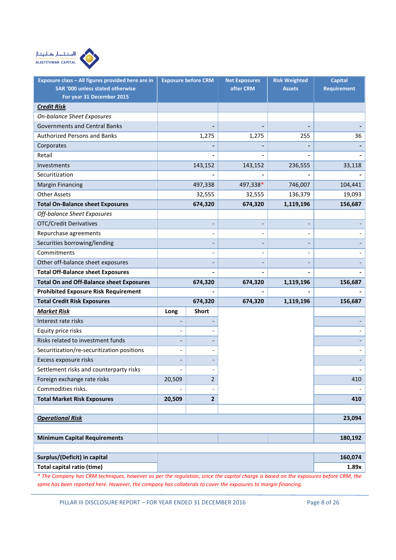

| Exposure class - All figures provided here are in<br>SAR '000 unless stated otherwise |        | <b>Exposure before CRM</b> | <b>Net Exposures</b><br>after CRM | <b>Risk Weighted</b><br><b>Assets</b> | <b>Capital</b><br><b>Requirement</b> |
|---------------------------------------------------------------------------------------|--------|----------------------------|-----------------------------------|---------------------------------------|--------------------------------------|
| For year 31 December 2015                                                             |        |                            |                                   |                                       |                                      |
| <b>Credit Risk</b>                                                                    |        |                            |                                   |                                       |                                      |
| On-balance Sheet Exposures                                                            |        |                            |                                   |                                       |                                      |
| <b>Governments and Central Banks</b>                                                  |        |                            |                                   |                                       |                                      |
| <b>Authorized Persons and Banks</b>                                                   |        | 1,275                      | 1,275                             | 255                                   | 36                                   |
| Corporates                                                                            |        |                            |                                   |                                       |                                      |
| Retail                                                                                |        |                            |                                   |                                       |                                      |
| Investments                                                                           |        | 143,152                    | 143,152                           | 236,555                               | 33,118                               |
| Securitization                                                                        |        |                            |                                   |                                       |                                      |
| <b>Margin Financing</b>                                                               |        | 497,338                    | 497,338*                          | 746,007                               | 104,441                              |
| <b>Other Assets</b>                                                                   |        | 32,555                     | 32,555                            | 136,379                               | 19,093                               |
| <b>Total On-Balance sheet Exposures</b>                                               |        | 674,320                    | 674,320                           | 1,119,196                             | 156,687                              |
| Off-balance Sheet Exposures                                                           |        |                            |                                   |                                       |                                      |
| <b>OTC/Credit Derivatives</b>                                                         |        |                            |                                   |                                       |                                      |
| Repurchase agreements                                                                 |        |                            |                                   |                                       |                                      |
| Securities borrowing/lending                                                          |        |                            |                                   |                                       |                                      |
| Commitments                                                                           |        | $\overline{\phantom{a}}$   |                                   |                                       |                                      |
| Other off-balance sheet exposures                                                     |        |                            |                                   |                                       |                                      |
| <b>Total Off-Balance sheet Exposures</b>                                              |        |                            |                                   |                                       |                                      |
| <b>Total On and Off-Balance sheet Exposures</b>                                       |        | 674,320                    | 674,320                           | 1,119,196                             | 156,687                              |
| <b>Prohibited Exposure Risk Requirement</b>                                           |        |                            |                                   |                                       |                                      |
| <b>Total Credit Risk Exposures</b>                                                    |        | 674,320                    | 674,320                           | 1,119,196                             | 156,687                              |
| <b>Market Risk</b>                                                                    | Long   | <b>Short</b>               |                                   |                                       |                                      |
| Interest rate risks                                                                   |        |                            |                                   |                                       |                                      |
| Equity price risks                                                                    |        |                            |                                   |                                       |                                      |
| Risks related to investment funds                                                     |        |                            |                                   |                                       |                                      |
| Securitization/re-securitization positions                                            |        |                            |                                   |                                       |                                      |
| Excess exposure risks                                                                 |        |                            |                                   |                                       |                                      |
| Settlement risks and counterparty risks                                               |        |                            |                                   |                                       |                                      |
| Foreign exchange rate risks                                                           | 20,509 | $\overline{2}$             |                                   |                                       | 410                                  |
| Commodities risks.                                                                    |        |                            |                                   |                                       |                                      |
| <b>Total Market Risk Exposures</b>                                                    | 20,509 | $\overline{\mathbf{2}}$    |                                   |                                       | 410                                  |
|                                                                                       |        |                            |                                   |                                       |                                      |
| <b>Operational Risk</b>                                                               |        |                            |                                   |                                       | 23,094                               |
|                                                                                       |        |                            |                                   |                                       |                                      |
| <b>Minimum Capital Requirements</b>                                                   |        |                            |                                   |                                       | 180,192                              |
|                                                                                       |        |                            |                                   |                                       |                                      |
| Surplus/(Deficit) in capital                                                          |        |                            |                                   |                                       | 160,074                              |
| Total capital ratio (time)                                                            |        |                            |                                   |                                       | 1.89x                                |

\* The Company has CRM techniques, however as per the regulation, since the capital charge is based on the exposures before CRM, the same has been reported here. However, the company has collaterals to cover the exposures to margin financing.

PILLAR III DISCLOSURE REPORT - FOR YEAR ENDED 31 DECEMBER 2016 Page 8 of 26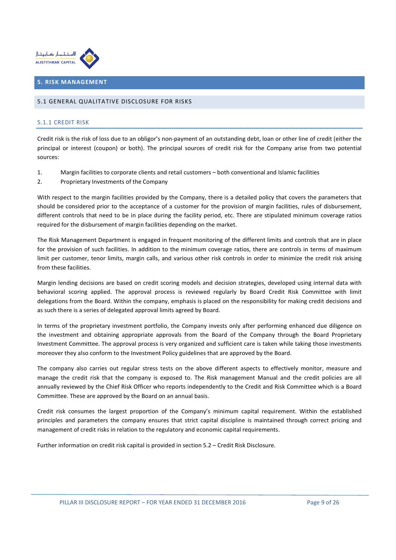

## 5. RISK MANAGEMENT

#### 5.1 GENERAL QUALITATIVE DISCLOSURE FOR RISKS

#### 5.1.1 CREDIT RISK

Credit risk is the risk of loss due to an obligor's non-payment of an outstanding debt, loan or other line of credit (either the principal or interest (coupon) or both). The principal sources of credit risk for the Company arise from two potential sources:

- 1. Margin facilities to corporate clients and retail customers both conventional and Islamic facilities
- 2. Proprietary Investments of the Company

With respect to the margin facilities provided by the Company, there is a detailed policy that covers the parameters that should be considered prior to the acceptance of a customer for the provision of margin facilities, rules of disbursement, different controls that need to be in place during the facility period, etc. There are stipulated minimum coverage ratios required for the disbursement of margin facilities depending on the market.

The Risk Management Department is engaged in frequent monitoring of the different limits and controls that are in place for the provision of such facilities. In addition to the minimum coverage ratios, there are controls in terms of maximum limit per customer, tenor limits, margin calls, and various other risk controls in order to minimize the credit risk arising from these facilities.

Margin lending decisions are based on credit scoring models and decision strategies, developed using internal data with behavioral scoring applied. The approval process is reviewed regularly by Board Credit Risk Committee with limit delegations from the Board. Within the company, emphasis is placed on the responsibility for making credit decisions and as such there is a series of delegated approval limits agreed by Board.

In terms of the proprietary investment portfolio, the Company invests only after performing enhanced due diligence on the investment and obtaining appropriate approvals from the Board of the Company through the Board Proprietary Investment Committee. The approval process is very organized and sufficient care is taken while taking those investments moreover they also conform to the Investment Policy guidelines that are approved by the Board.

The company also carries out regular stress tests on the above different aspects to effectively monitor, measure and manage the credit risk that the company is exposed to. The Risk management Manual and the credit policies are all annually reviewed by the Chief Risk Officer who reports independently to the Credit and Risk Committee which is a Board Committee. These are approved by the Board on an annual basis.

Credit risk consumes the largest proportion of the Company's minimum capital requirement. Within the established principles and parameters the company ensures that strict capital discipline is maintained through correct pricing and management of credit risks in relation to the regulatory and economic capital requirements.

Further information on credit risk capital is provided in section 5.2 – Credit Risk Disclosure.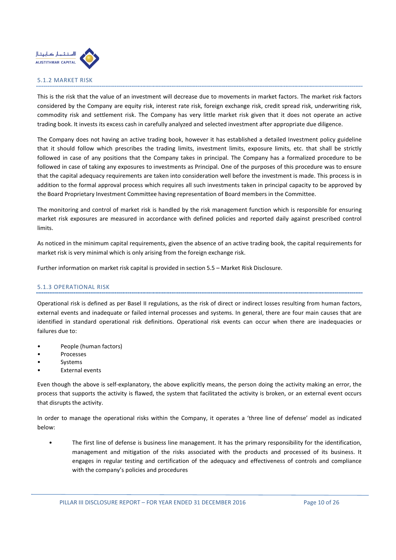

#### 5.1.2 MARKET RISK

This is the risk that the value of an investment will decrease due to movements in market factors. The market risk factors considered by the Company are equity risk, interest rate risk, foreign exchange risk, credit spread risk, underwriting risk, commodity risk and settlement risk. The Company has very little market risk given that it does not operate an active trading book. It invests its excess cash in carefully analyzed and selected investment after appropriate due diligence.

The Company does not having an active trading book, however it has established a detailed Investment policy guideline that it should follow which prescribes the trading limits, investment limits, exposure limits, etc. that shall be strictly followed in case of any positions that the Company takes in principal. The Company has a formalized procedure to be followed in case of taking any exposures to investments as Principal. One of the purposes of this procedure was to ensure that the capital adequacy requirements are taken into consideration well before the investment is made. This process is in addition to the formal approval process which requires all such investments taken in principal capacity to be approved by the Board Proprietary Investment Committee having representation of Board members in the Committee.

The monitoring and control of market risk is handled by the risk management function which is responsible for ensuring market risk exposures are measured in accordance with defined policies and reported daily against prescribed control limits.

As noticed in the minimum capital requirements, given the absence of an active trading book, the capital requirements for market risk is very minimal which is only arising from the foreign exchange risk.

Further information on market risk capital is provided in section 5.5 – Market Risk Disclosure.

## 5.1.3 OPERATIONAL RISK

Operational risk is defined as per Basel II regulations, as the risk of direct or indirect losses resulting from human factors, external events and inadequate or failed internal processes and systems. In general, there are four main causes that are identified in standard operational risk definitions. Operational risk events can occur when there are inadequacies or failures due to:

- People (human factors)
- **Processes**
- **Systems**
- External events

Even though the above is self-explanatory, the above explicitly means, the person doing the activity making an error, the process that supports the activity is flawed, the system that facilitated the activity is broken, or an external event occurs that disrupts the activity.

In order to manage the operational risks within the Company, it operates a 'three line of defense' model as indicated below:

• The first line of defense is business line management. It has the primary responsibility for the identification, management and mitigation of the risks associated with the products and processed of its business. It engages in regular testing and certification of the adequacy and effectiveness of controls and compliance with the company's policies and procedures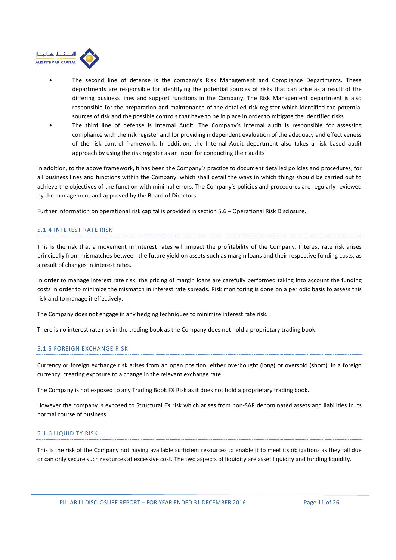

- The second line of defense is the company's Risk Management and Compliance Departments. These departments are responsible for identifying the potential sources of risks that can arise as a result of the differing business lines and support functions in the Company. The Risk Management department is also responsible for the preparation and maintenance of the detailed risk register which identified the potential sources of risk and the possible controls that have to be in place in order to mitigate the identified risks
- The third line of defense is Internal Audit. The Company's internal audit is responsible for assessing compliance with the risk register and for providing independent evaluation of the adequacy and effectiveness of the risk control framework. In addition, the Internal Audit department also takes a risk based audit approach by using the risk register as an input for conducting their audits

In addition, to the above framework, it has been the Company's practice to document detailed policies and procedures, for all business lines and functions within the Company, which shall detail the ways in which things should be carried out to achieve the objectives of the function with minimal errors. The Company's policies and procedures are regularly reviewed by the management and approved by the Board of Directors.

Further information on operational risk capital is provided in section 5.6 – Operational Risk Disclosure.

## 5.1.4 INTEREST RATE RISK

This is the risk that a movement in interest rates will impact the profitability of the Company. Interest rate risk arises principally from mismatches between the future yield on assets such as margin loans and their respective funding costs, as a result of changes in interest rates.

In order to manage interest rate risk, the pricing of margin loans are carefully performed taking into account the funding costs in order to minimize the mismatch in interest rate spreads. Risk monitoring is done on a periodic basis to assess this risk and to manage it effectively.

The Company does not engage in any hedging techniques to minimize interest rate risk.

There is no interest rate risk in the trading book as the Company does not hold a proprietary trading book.

## 5.1.5 FOREIGN EXCHANGE RISK

Currency or foreign exchange risk arises from an open position, either overbought (long) or oversold (short), in a foreign currency, creating exposure to a change in the relevant exchange rate.

The Company is not exposed to any Trading Book FX Risk as it does not hold a proprietary trading book.

However the company is exposed to Structural FX risk which arises from non-SAR denominated assets and liabilities in its normal course of business.

## 5.1.6 LIQUIDITY RISK

This is the risk of the Company not having available sufficient resources to enable it to meet its obligations as they fall due or can only secure such resources at excessive cost. The two aspects of liquidity are asset liquidity and funding liquidity.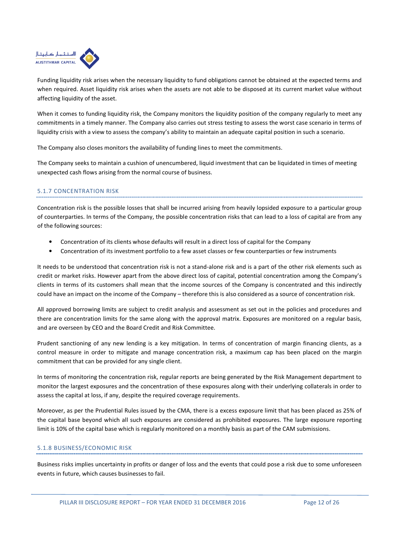

Funding liquidity risk arises when the necessary liquidity to fund obligations cannot be obtained at the expected terms and when required. Asset liquidity risk arises when the assets are not able to be disposed at its current market value without affecting liquidity of the asset.

When it comes to funding liquidity risk, the Company monitors the liquidity position of the company regularly to meet any commitments in a timely manner. The Company also carries out stress testing to assess the worst case scenario in terms of liquidity crisis with a view to assess the company's ability to maintain an adequate capital position in such a scenario.

The Company also closes monitors the availability of funding lines to meet the commitments.

The Company seeks to maintain a cushion of unencumbered, liquid investment that can be liquidated in times of meeting unexpected cash flows arising from the normal course of business.

## 5.1.7 CONCENTRATION RISK

Concentration risk is the possible losses that shall be incurred arising from heavily lopsided exposure to a particular group of counterparties. In terms of the Company, the possible concentration risks that can lead to a loss of capital are from any of the following sources:

- Concentration of its clients whose defaults will result in a direct loss of capital for the Company
- Concentration of its investment portfolio to a few asset classes or few counterparties or few instruments

It needs to be understood that concentration risk is not a stand-alone risk and is a part of the other risk elements such as credit or market risks. However apart from the above direct loss of capital, potential concentration among the Company's clients in terms of its customers shall mean that the income sources of the Company is concentrated and this indirectly could have an impact on the income of the Company – therefore this is also considered as a source of concentration risk.

All approved borrowing limits are subject to credit analysis and assessment as set out in the policies and procedures and there are concentration limits for the same along with the approval matrix. Exposures are monitored on a regular basis, and are overseen by CEO and the Board Credit and Risk Committee.

Prudent sanctioning of any new lending is a key mitigation. In terms of concentration of margin financing clients, as a control measure in order to mitigate and manage concentration risk, a maximum cap has been placed on the margin commitment that can be provided for any single client.

In terms of monitoring the concentration risk, regular reports are being generated by the Risk Management department to monitor the largest exposures and the concentration of these exposures along with their underlying collaterals in order to assess the capital at loss, if any, despite the required coverage requirements.

Moreover, as per the Prudential Rules issued by the CMA, there is a excess exposure limit that has been placed as 25% of the capital base beyond which all such exposures are considered as prohibited exposures. The large exposure reporting limit is 10% of the capital base which is regularly monitored on a monthly basis as part of the CAM submissions.

#### 5.1.8 BUSINESS/ECONOMIC RISK

Business risks implies uncertainty in profits or danger of loss and the events that could pose a risk due to some unforeseen events in future, which causes businesses to fail.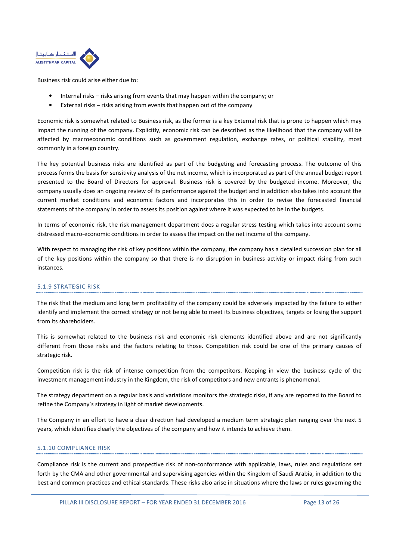

Business risk could arise either due to:

- Internal risks risks arising from events that may happen within the company; or
- External risks risks arising from events that happen out of the company

Economic risk is somewhat related to Business risk, as the former is a key External risk that is prone to happen which may impact the running of the company. Explicitly, economic risk can be described as the likelihood that the company will be affected by macroeconomic conditions such as government regulation, exchange rates, or political stability, most commonly in a foreign country.

The key potential business risks are identified as part of the budgeting and forecasting process. The outcome of this process forms the basis for sensitivity analysis of the net income, which is incorporated as part of the annual budget report presented to the Board of Directors for approval. Business risk is covered by the budgeted income. Moreover, the company usually does an ongoing review of its performance against the budget and in addition also takes into account the current market conditions and economic factors and incorporates this in order to revise the forecasted financial statements of the company in order to assess its position against where it was expected to be in the budgets.

In terms of economic risk, the risk management department does a regular stress testing which takes into account some distressed macro-economic conditions in order to assess the impact on the net income of the company.

With respect to managing the risk of key positions within the company, the company has a detailed succession plan for all of the key positions within the company so that there is no disruption in business activity or impact rising from such instances.

## 5.1.9 STRATEGIC RISK

The risk that the medium and long term profitability of the company could be adversely impacted by the failure to either identify and implement the correct strategy or not being able to meet its business objectives, targets or losing the support from its shareholders.

This is somewhat related to the business risk and economic risk elements identified above and are not significantly different from those risks and the factors relating to those. Competition risk could be one of the primary causes of strategic risk.

Competition risk is the risk of intense competition from the competitors. Keeping in view the business cycle of the investment management industry in the Kingdom, the risk of competitors and new entrants is phenomenal.

The strategy department on a regular basis and variations monitors the strategic risks, if any are reported to the Board to refine the Company's strategy in light of market developments.

The Company in an effort to have a clear direction had developed a medium term strategic plan ranging over the next 5 years, which identifies clearly the objectives of the company and how it intends to achieve them.

## 5.1.10 COMPLIANCE RISK

Compliance risk is the current and prospective risk of non-conformance with applicable, laws, rules and regulations set forth by the CMA and other governmental and supervising agencies within the Kingdom of Saudi Arabia, in addition to the best and common practices and ethical standards. These risks also arise in situations where the laws or rules governing the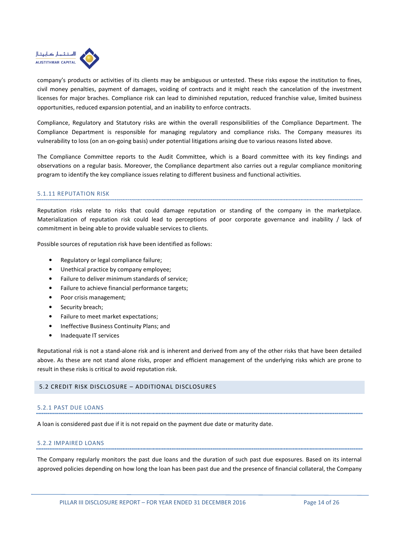

company's products or activities of its clients may be ambiguous or untested. These risks expose the institution to fines, civil money penalties, payment of damages, voiding of contracts and it might reach the cancelation of the investment licenses for major braches. Compliance risk can lead to diminished reputation, reduced franchise value, limited business opportunities, reduced expansion potential, and an inability to enforce contracts.

Compliance, Regulatory and Statutory risks are within the overall responsibilities of the Compliance Department. The Compliance Department is responsible for managing regulatory and compliance risks. The Company measures its vulnerability to loss (on an on-going basis) under potential litigations arising due to various reasons listed above.

The Compliance Committee reports to the Audit Committee, which is a Board committee with its key findings and observations on a regular basis. Moreover, the Compliance department also carries out a regular compliance monitoring program to identify the key compliance issues relating to different business and functional activities.

## 5.1.11 REPUTATION RISK

Reputation risks relate to risks that could damage reputation or standing of the company in the marketplace. Materialization of reputation risk could lead to perceptions of poor corporate governance and inability / lack of commitment in being able to provide valuable services to clients.

Possible sources of reputation risk have been identified as follows:

- Regulatory or legal compliance failure;
- Unethical practice by company employee;
- Failure to deliver minimum standards of service;
- Failure to achieve financial performance targets;
- Poor crisis management;
- Security breach;
- Failure to meet market expectations;
- Ineffective Business Continuity Plans; and
- Inadequate IT services

Reputational risk is not a stand-alone risk and is inherent and derived from any of the other risks that have been detailed above. As these are not stand alone risks, proper and efficient management of the underlying risks which are prone to result in these risks is critical to avoid reputation risk.

#### 5.2 CREDIT RISK DISCLOSURE – ADDITIONAL DISCLOSURES

#### 5.2.1 PAST DUE LOANS

A loan is considered past due if it is not repaid on the payment due date or maturity date.

#### 5.2.2 IMPAIRED LOANS

The Company regularly monitors the past due loans and the duration of such past due exposures. Based on its internal approved policies depending on how long the loan has been past due and the presence of financial collateral, the Company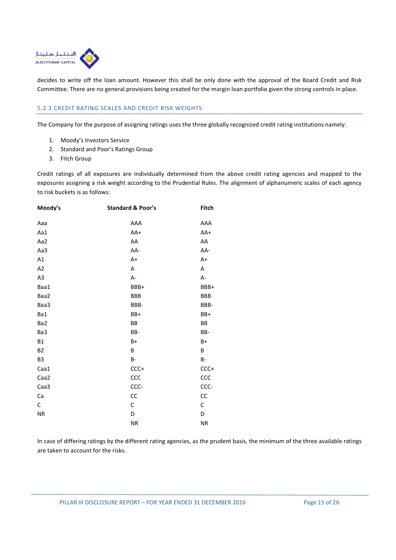

decides to write off the loan amount. However this shall be only done with the approval of the Board Credit and Risk Committee. There are no general provisions being created for the margin loan portfolio given the strong controls in place.

## 5.2.3 CREDIT RATING SCALES AND CREDIT RISK WEIGHTS

The Company for the purpose of assigning ratings uses the three globally recognized credit rating institutions namely:

- 1. Moody's Investors Service
- 2. Standard and Poor's Ratings Group
- 3. Fitch Group

Credit ratings of all exposures are individually determined from the above credit rating agencies and mapped to the exposures assigning a risk weight according to the Prudential Rules. The alignment of alphanumeric scales of each agency to risk buckets is as follows:

| Moody's        | <b>Standard &amp; Poor's</b> | Fitch               |
|----------------|------------------------------|---------------------|
| Aaa            | AAA                          | AAA                 |
| Aa1            | AA+                          | AA+                 |
| Aa2            | AA                           | AA                  |
| Aa3            | AA-                          | AA-                 |
| A1             | $A+$                         | A+                  |
| A2             | А                            | Α                   |
| A <sub>3</sub> | $A -$                        | А-                  |
| Baa1           | BBB+                         | BBB+                |
| Baa2           | <b>BBB</b>                   | BBB                 |
| Baa3           | BBB-                         | BBB-                |
| Ba1            | BB+                          | BB+                 |
| Ba2            | BB                           | BB                  |
| Ba3            | BB-                          | BB-                 |
| <b>B1</b>      | $B+$                         | B+                  |
| <b>B2</b>      | B                            | B                   |
| B <sub>3</sub> | <b>B-</b>                    | $\mathsf B\text{-}$ |
| Caa1           | $CCC+$                       | $CCC+$              |
| Caa2           | ccc                          | CCC                 |
| Caa3           | CCC-                         | CCC-                |
| Ca             | CC                           | CC                  |
| C              | С                            | C                   |
| <b>NR</b>      | D                            | D                   |
|                | ΝR                           | <b>NR</b>           |

In case of differing ratings by the different rating agencies, as the prudent basis, the minimum of the three available ratings are taken to account for the risks.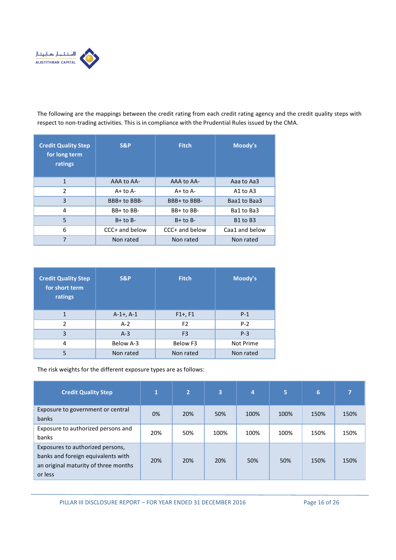

The following are the mappings between the credit rating from each credit rating agency and the credit quality steps with respect to non-trading activities. This is in compliance with the Prudential Rules issued by the CMA.

| <b>Credit Quality Step</b><br>for long term<br>ratings | <b>S&amp;P</b> | <b>Fitch</b>   | Moody's                          |
|--------------------------------------------------------|----------------|----------------|----------------------------------|
| 1                                                      | AAA to AA-     | AAA to AA-     | Aaa to Aa3                       |
| $\overline{2}$                                         | $A+$ to $A-$   | $A+$ to $A-$   | A1 to $A3$                       |
| 3                                                      | BBB+ to BBB-   | BBB+ to BBB-   | Baa1 to Baa3                     |
| 4                                                      | BB+ to BB-     | $BB+$ to $BB-$ | Ba1 to Ba3                       |
| 5                                                      | $B+$ to $B-$   | $B+$ to $B-$   | B <sub>1</sub> to B <sub>3</sub> |
| 6                                                      | CCC+ and below | CCC+ and below | Caa1 and below                   |
| 7                                                      | Non rated      | Non rated      | Non rated                        |

| <b>Credit Quality Step</b><br>for short term<br>ratings | <b>S&amp;P</b> | <b>Fitch</b>   | Moody's   |  |  |
|---------------------------------------------------------|----------------|----------------|-----------|--|--|
| 1                                                       | $A-1+$ , $A-1$ | $F1+, F1$      | $P-1$     |  |  |
| $\mathfrak{p}$                                          | $A-2$          | F <sub>2</sub> | $P-2$     |  |  |
| 3                                                       | $A-3$          | F <sub>3</sub> | $P-3$     |  |  |
| 4                                                       | Below A-3      | Below F3       | Not Prime |  |  |
| 5                                                       | Non rated      | Non rated      | Non rated |  |  |

The risk weights for the different exposure types are as follows:

| <b>Credit Quality Step</b>                                                                                                | 1   | $\overline{2}$ | $\overline{3}$ | 4    | 5    | 6    |      |
|---------------------------------------------------------------------------------------------------------------------------|-----|----------------|----------------|------|------|------|------|
| Exposure to government or central<br>banks                                                                                | 0%  | 20%            | 50%            | 100% | 100% | 150% | 150% |
| Exposure to authorized persons and<br>banks                                                                               | 20% | 50%            | 100%           | 100% | 100% | 150% | 150% |
| Exposures to authorized persons,<br>banks and foreign equivalents with<br>an original maturity of three months<br>or less | 20% | 20%            | 20%            | 50%  | 50%  | 150% | 150% |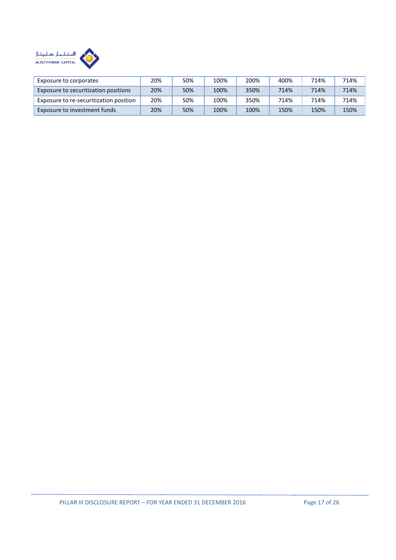

| Exposure to corporates                 | 20% | 50% | 100% | 200% | 400% | 714% | 714% |
|----------------------------------------|-----|-----|------|------|------|------|------|
| Exposure to securitization positions   | 20% | 50% | 100% | 350% | 714% | 714% | 714% |
| Exposure to re-securitization position | 20% | 50% | 100% | 350% | 714% | 714% | 714% |
| Exposure to investment funds           | 20% | 50% | 100% | 100% | 150% | 150% | 150% |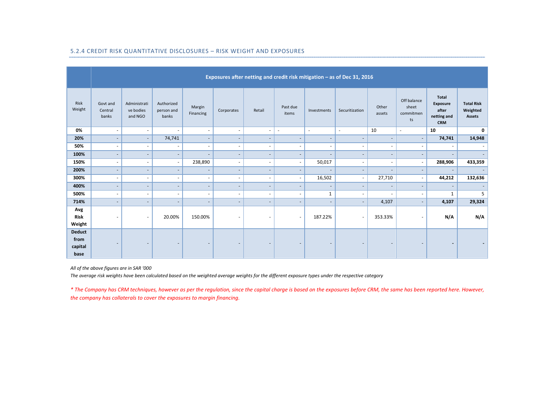|                                          | Exposures after netting and credit risk mitigation - as of Dec 31, 2016 |                                      |                                   |                          |                          |                          |                          |                          |                          |                          |                                         |                                                                |                                                |
|------------------------------------------|-------------------------------------------------------------------------|--------------------------------------|-----------------------------------|--------------------------|--------------------------|--------------------------|--------------------------|--------------------------|--------------------------|--------------------------|-----------------------------------------|----------------------------------------------------------------|------------------------------------------------|
| Risk<br>Weight                           | Govt and<br>Central<br>banks                                            | Administrati<br>ve bodies<br>and NGO | Authorized<br>person and<br>banks | Margin<br>Financing      | Corporates               | Retail                   | Past due<br>items        | Investments              | Securitization           | Other<br>assets          | Off balance<br>sheet<br>commitmen<br>ts | <b>Total</b><br>Exposure<br>after<br>netting and<br><b>CRM</b> | <b>Total Risk</b><br>Weighted<br><b>Assets</b> |
| 0%                                       | $\overline{\phantom{a}}$                                                | $\overline{\phantom{a}}$             | $\overline{\phantom{a}}$          | $\overline{\phantom{a}}$ | $\overline{\phantom{a}}$ | $\overline{\phantom{a}}$ | $\sim$                   | $\overline{\phantom{a}}$ | $\sim$                   | 10                       | $\sim$                                  | 10                                                             | 0                                              |
| 20%                                      | $\overline{\phantom{a}}$                                                | $\overline{\phantom{a}}$             | 74,741                            | $\overline{\phantom{a}}$ | $\overline{\phantom{a}}$ | $\overline{\phantom{a}}$ | $\overline{\phantom{a}}$ | $\overline{\phantom{a}}$ | $\overline{\phantom{a}}$ | $\overline{\phantom{a}}$ | $\sim$                                  | 74,741                                                         | 14,948                                         |
| 50%                                      | $\sim$                                                                  | $\overline{\phantom{a}}$             | $\overline{\phantom{a}}$          | $\overline{\phantom{a}}$ | ٠                        | $\overline{\phantom{a}}$ | $\overline{\phantom{a}}$ | $\overline{\phantom{a}}$ | ٠                        | $\overline{\phantom{a}}$ | $\sim$                                  | ٠                                                              |                                                |
| 100%                                     | $\overline{\phantom{a}}$                                                | $\overline{\phantom{a}}$             | $\overline{\phantom{a}}$          | $\overline{\phantom{a}}$ | $\overline{\phantom{a}}$ | $\overline{\phantom{a}}$ | $\overline{\phantom{a}}$ | $\overline{\phantom{a}}$ | $\overline{\phantom{a}}$ | $\overline{\phantom{a}}$ | $\overline{\phantom{a}}$                | $\overline{\phantom{a}}$                                       | $\overline{\phantom{a}}$                       |
| 150%                                     | $\sim$                                                                  | $\overline{\phantom{a}}$             | $\blacksquare$                    | 238,890                  | $\sim$                   | $\sim$                   | $\overline{\phantom{a}}$ | 50,017                   | $\overline{\phantom{a}}$ | $\overline{\phantom{a}}$ | $\sim$                                  | 288,906                                                        | 433,359                                        |
| 200%                                     | $\overline{\phantom{a}}$                                                | $\overline{\phantom{a}}$             | $\overline{\phantom{a}}$          | $\overline{\phantom{a}}$ | $\overline{\phantom{a}}$ | $\overline{\phantom{a}}$ | $\overline{\phantom{a}}$ | $\overline{\phantom{a}}$ | $\overline{\phantom{a}}$ | $\overline{\phantom{a}}$ | $\overline{\phantom{a}}$                | $\overline{\phantom{a}}$                                       | $\overline{\phantom{a}}$                       |
| 300%                                     | $\sim$                                                                  | $\sim$                               | $\sim$                            | ÷.                       | $\overline{\phantom{a}}$ | $\overline{\phantom{a}}$ | $\overline{\phantom{a}}$ | 16,502                   | $\overline{\phantom{a}}$ | 27,710                   | $\overline{\phantom{a}}$                | 44,212                                                         | 132,636                                        |
| 400%                                     | ٠                                                                       | $\overline{\phantom{a}}$             | ٠                                 | $\overline{\phantom{a}}$ | $\overline{\phantom{a}}$ | $\overline{\phantom{a}}$ | $\overline{a}$           | $\overline{a}$           | $\overline{\phantom{a}}$ | ٠                        | $\sim$                                  | ٠                                                              | $\overline{\phantom{a}}$                       |
| 500%                                     | ٠                                                                       | $\sim$                               | $\sim$                            | $\overline{\phantom{a}}$ | ٠                        | $\sim$                   | $\overline{\phantom{a}}$ | $\mathbf{1}$             | $\overline{\phantom{a}}$ | ٠                        | $\overline{\phantom{a}}$                | $\mathbf{1}$                                                   | 5                                              |
| 714%                                     |                                                                         | $\overline{\phantom{a}}$             | ٠                                 | $\overline{\phantom{a}}$ | $\overline{\phantom{a}}$ | $\overline{\phantom{a}}$ | $\overline{\phantom{a}}$ | $\overline{\phantom{a}}$ | $\overline{\phantom{a}}$ | 4,107                    | $\overline{\phantom{a}}$                | 4,107                                                          | 29,324                                         |
| Avg<br><b>Risk</b><br>Weight             | $\overline{\phantom{a}}$                                                | $\overline{\phantom{a}}$             | 20.00%                            | 150.00%                  | $\overline{\phantom{a}}$ | $\overline{\phantom{a}}$ | $\overline{\phantom{a}}$ | 187.22%                  | $\sim$                   | 353.33%                  | $\sim$                                  | N/A                                                            | N/A                                            |
| <b>Deduct</b><br>from<br>capital<br>base | $\overline{\phantom{a}}$                                                | $\overline{\phantom{a}}$             | $\overline{\phantom{a}}$          | $\overline{\phantom{a}}$ | $\overline{\phantom{a}}$ | $\overline{\phantom{a}}$ | $\overline{\phantom{a}}$ | $\overline{\phantom{a}}$ | $\overline{\phantom{a}}$ | ٠                        |                                         | $\overline{\phantom{a}}$                                       |                                                |

#### 5.2.4 CREDIT RISK QUANTITATIVE DISCLOSURES – RISK WEIGHT AND EXPOSURES

All of the above figures are in SAR '000

The average risk weights have been calculated based on the weighted average weights for the different exposure types under the respective category

\* The Company has CRM techniques, however as per the regulation, since the capital charge is based on the exposures before CRM, the same has been reported here. However, the company has collaterals to cover the exposures to margin financing.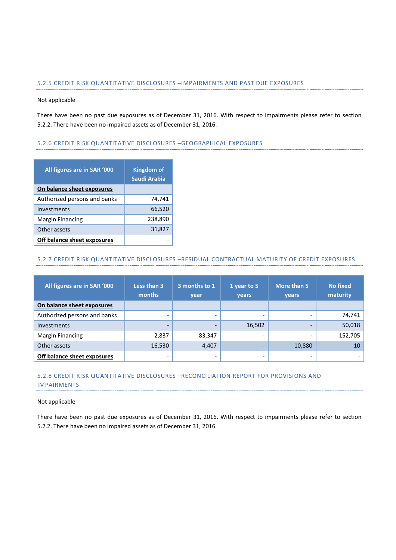## 5.2.5 CREDIT RISK QUANTITATIVE DISCLOSURES –IMPAIRMENTS AND PAST DUE EXPOSURES

#### Not applicable

There have been no past due exposures as of December 31, 2016. With respect to impairments please refer to section 5.2.2. There have been no impaired assets as of December 31, 2016.

## 5.2.6 CREDIT RISK QUANTITATIVE DISCLOSURES –GEOGRAPHICAL EXPOSURES

| All figures are in SAR '000  | <b>Kingdom of</b><br>Saudi Arabia |
|------------------------------|-----------------------------------|
| On balance sheet exposures   |                                   |
| Authorized persons and banks | 74,741                            |
| Investments                  | 66,520                            |
| <b>Margin Financing</b>      | 238,890                           |
| Other assets                 | 31,827                            |
| Off balance sheet exposures  |                                   |

## 5.2.7 CREDIT RISK QUANTITATIVE DISCLOSURES –RESIDUAL CONTRACTUAL MATURITY OF CREDIT EXPOSURES

| All figures are in SAR '000  | Less than 3<br>months | 3 months to 1<br>year | 1 year to 5<br>years | More than 5<br>years | <b>No fixed</b><br>maturity |
|------------------------------|-----------------------|-----------------------|----------------------|----------------------|-----------------------------|
| On balance sheet exposures   |                       |                       |                      |                      |                             |
| Authorized persons and banks |                       |                       |                      |                      | 74,741                      |
| Investments                  |                       |                       | 16,502               |                      | 50,018                      |
| <b>Margin Financing</b>      | 2,837                 | 83,347                | -                    |                      | 152,705                     |
| Other assets                 | 16,530                | 4,407                 |                      | 10,880               | 10 <sup>1</sup>             |
| Off balance sheet exposures  |                       | -                     | -                    |                      |                             |

## 5.2.8 CREDIT RISK QUANTITATIVE DISCLOSURES –RECONCILIATION REPORT FOR PROVISIONS AND IMPAIRMENTS

#### Not applicable

There have been no past due exposures as of December 31, 2016. With respect to impairments please refer to section 5.2.2. There have been no impaired assets as of December 31, 2016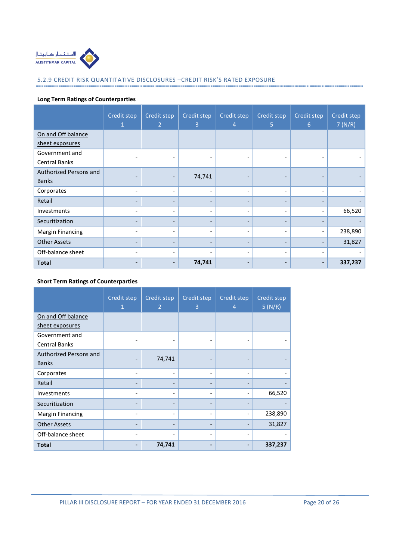

## 5.2.9 CREDIT RISK QUANTITATIVE DISCLOSURES –CREDIT RISK'S RATED EXPOSURE

## Long Term Ratings of Counterparties

|                         | Credit step<br>1         | Credit step<br>$\overline{2}$ | Credit step<br>3             | Credit step<br>4             | Credit step<br>5         | Credit step<br>6             | Credit step<br>7(N/R) |
|-------------------------|--------------------------|-------------------------------|------------------------------|------------------------------|--------------------------|------------------------------|-----------------------|
| On and Off balance      |                          |                               |                              |                              |                          |                              |                       |
| sheet exposures         |                          |                               |                              |                              |                          |                              |                       |
| Government and          | $\overline{a}$           | $\overline{\phantom{a}}$      | $\qquad \qquad \blacksquare$ |                              | $\overline{\phantom{a}}$ |                              |                       |
| Central Banks           |                          |                               |                              |                              |                          |                              |                       |
| Authorized Persons and  | ٠                        | $\qquad \qquad$               | 74,741                       | $\qquad \qquad \blacksquare$ | $\overline{\phantom{0}}$ |                              |                       |
| <b>Banks</b>            |                          |                               |                              |                              |                          |                              |                       |
| Corporates              | $\overline{\phantom{a}}$ | $\overline{\phantom{0}}$      | $\overline{\phantom{0}}$     | $\overline{\phantom{a}}$     | $\overline{\phantom{0}}$ | $\overline{\phantom{0}}$     |                       |
| Retail                  | $\overline{\phantom{0}}$ | $\overline{a}$                | $\overline{\phantom{0}}$     | $\overline{\phantom{a}}$     |                          |                              |                       |
| Investments             | $\overline{\phantom{a}}$ | $\overline{\phantom{a}}$      | $\overline{\phantom{0}}$     | $\overline{\phantom{a}}$     | $\overline{\phantom{0}}$ | $\overline{\phantom{0}}$     | 66,520                |
| Securitization          | $\overline{\phantom{0}}$ |                               | -                            | $\overline{\phantom{a}}$     |                          |                              |                       |
| <b>Margin Financing</b> | $\qquad \qquad$          | $\qquad \qquad \blacksquare$  | $\overline{\phantom{0}}$     | $\overline{\phantom{a}}$     |                          |                              | 238,890               |
| <b>Other Assets</b>     | $\overline{\phantom{a}}$ | $\overline{\phantom{0}}$      |                              | $\overline{\phantom{a}}$     |                          |                              | 31,827                |
| Off-balance sheet       | $\overline{\phantom{0}}$ |                               |                              | $\overline{\phantom{a}}$     | $\overline{\phantom{0}}$ |                              |                       |
| <b>Total</b>            | $\overline{\phantom{0}}$ | $\blacksquare$                | 74,741                       | $\blacksquare$               |                          | $\qquad \qquad \blacksquare$ | 337,237               |

## Short Term Ratings of Counterparties

|                         | Credit step<br>1 | Credit step<br>$\overline{2}$ | Credit step<br>3         | Credit step<br>$\overline{4}$ | Credit step<br>5(N/R) |
|-------------------------|------------------|-------------------------------|--------------------------|-------------------------------|-----------------------|
| On and Off balance      |                  |                               |                          |                               |                       |
| sheet exposures         |                  |                               |                          |                               |                       |
| Government and          |                  |                               |                          |                               |                       |
| <b>Central Banks</b>    |                  |                               |                          |                               |                       |
| Authorized Persons and  |                  | 74,741                        |                          |                               |                       |
| <b>Banks</b>            |                  |                               |                          |                               |                       |
| Corporates              |                  |                               |                          | $\overline{\phantom{a}}$      |                       |
| Retail                  |                  |                               |                          |                               |                       |
| Investments             | -                |                               |                          | $\qquad \qquad \blacksquare$  | 66,520                |
| Securitization          |                  |                               |                          |                               |                       |
| <b>Margin Financing</b> |                  |                               |                          |                               | 238,890               |
| <b>Other Assets</b>     |                  |                               |                          |                               | 31,827                |
| Off-balance sheet       |                  |                               | $\overline{\phantom{a}}$ | $\overline{\phantom{a}}$      |                       |
| <b>Total</b>            |                  | 74,741                        |                          |                               | 337,237               |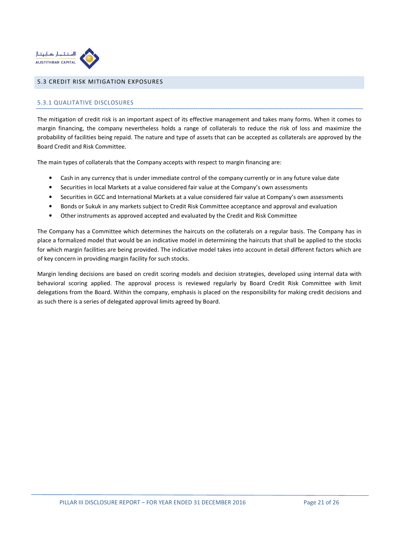

## 5.3 CREDIT RISK MITIGATION EXPOSURES

## 5.3.1 QUALITATIVE DISCLOSURES

The mitigation of credit risk is an important aspect of its effective management and takes many forms. When it comes to margin financing, the company nevertheless holds a range of collaterals to reduce the risk of loss and maximize the probability of facilities being repaid. The nature and type of assets that can be accepted as collaterals are approved by the Board Credit and Risk Committee.

The main types of collaterals that the Company accepts with respect to margin financing are:

- Cash in any currency that is under immediate control of the company currently or in any future value date
- Securities in local Markets at a value considered fair value at the Company's own assessments
- Securities in GCC and International Markets at a value considered fair value at Company's own assessments
- Bonds or Sukuk in any markets subject to Credit Risk Committee acceptance and approval and evaluation
- Other instruments as approved accepted and evaluated by the Credit and Risk Committee

The Company has a Committee which determines the haircuts on the collaterals on a regular basis. The Company has in place a formalized model that would be an indicative model in determining the haircuts that shall be applied to the stocks for which margin facilities are being provided. The indicative model takes into account in detail different factors which are of key concern in providing margin facility for such stocks.

Margin lending decisions are based on credit scoring models and decision strategies, developed using internal data with behavioral scoring applied. The approval process is reviewed regularly by Board Credit Risk Committee with limit delegations from the Board. Within the company, emphasis is placed on the responsibility for making credit decisions and as such there is a series of delegated approval limits agreed by Board.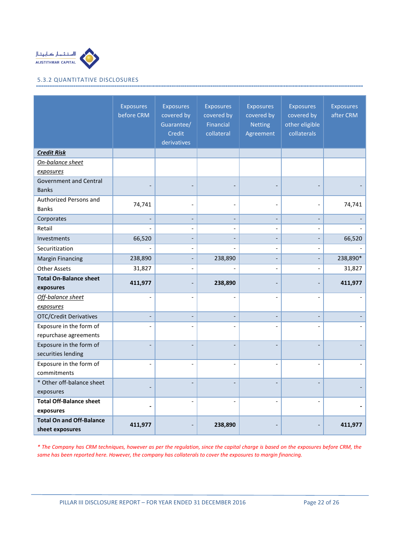

## 5.3.2 QUANTITATIVE DISCLOSURES

|                                                    | <b>Exposures</b><br>before CRM | <b>Exposures</b><br>covered by<br>Guarantee/<br>Credit<br>derivatives | <b>Exposures</b><br>covered by<br>Financial<br>collateral | <b>Exposures</b><br>covered by<br><b>Netting</b><br>Agreement | <b>Exposures</b><br>covered by<br>other eligible<br>collaterals | <b>Exposures</b><br>after CRM |
|----------------------------------------------------|--------------------------------|-----------------------------------------------------------------------|-----------------------------------------------------------|---------------------------------------------------------------|-----------------------------------------------------------------|-------------------------------|
| <b>Credit Risk</b>                                 |                                |                                                                       |                                                           |                                                               |                                                                 |                               |
| On-balance sheet                                   |                                |                                                                       |                                                           |                                                               |                                                                 |                               |
| exposures                                          |                                |                                                                       |                                                           |                                                               |                                                                 |                               |
| <b>Government and Central</b>                      |                                |                                                                       |                                                           |                                                               |                                                                 |                               |
| <b>Banks</b>                                       |                                |                                                                       |                                                           |                                                               |                                                                 |                               |
| Authorized Persons and                             | 74,741                         |                                                                       |                                                           |                                                               |                                                                 | 74,741                        |
| <b>Banks</b>                                       |                                |                                                                       |                                                           |                                                               |                                                                 |                               |
| Corporates                                         | $\overline{\phantom{a}}$       | $\overline{\phantom{a}}$                                              | $\overline{\phantom{a}}$                                  | $\overline{\phantom{a}}$                                      | $\overline{\phantom{a}}$                                        |                               |
| Retail                                             |                                |                                                                       |                                                           |                                                               |                                                                 |                               |
| Investments                                        | 66,520                         |                                                                       |                                                           |                                                               | $\overline{a}$                                                  | 66,520                        |
| Securitization                                     |                                |                                                                       |                                                           | $\overline{\phantom{a}}$                                      | $\overline{a}$                                                  |                               |
| <b>Margin Financing</b>                            | 238,890                        |                                                                       | 238,890                                                   |                                                               |                                                                 | 238,890*                      |
| <b>Other Assets</b>                                | 31,827                         |                                                                       |                                                           |                                                               | $\overline{\phantom{a}}$                                        | 31,827                        |
| <b>Total On-Balance sheet</b><br>exposures         | 411,977                        |                                                                       | 238,890                                                   |                                                               |                                                                 | 411,977                       |
| Off-balance sheet                                  | $\overline{a}$                 |                                                                       |                                                           |                                                               | $\overline{a}$                                                  |                               |
| exposures                                          |                                |                                                                       |                                                           |                                                               |                                                                 |                               |
| <b>OTC/Credit Derivatives</b>                      | $\overline{a}$                 |                                                                       |                                                           |                                                               |                                                                 |                               |
| Exposure in the form of                            |                                |                                                                       |                                                           |                                                               |                                                                 |                               |
| repurchase agreements                              |                                |                                                                       |                                                           |                                                               |                                                                 |                               |
| Exposure in the form of                            |                                |                                                                       |                                                           |                                                               |                                                                 |                               |
| securities lending                                 |                                |                                                                       |                                                           |                                                               |                                                                 |                               |
| Exposure in the form of                            | $\overline{a}$                 |                                                                       |                                                           |                                                               | $\overline{a}$                                                  |                               |
| commitments                                        |                                |                                                                       |                                                           |                                                               |                                                                 |                               |
| * Other off-balance sheet                          |                                |                                                                       |                                                           |                                                               |                                                                 |                               |
| exposures                                          |                                |                                                                       |                                                           |                                                               |                                                                 |                               |
| <b>Total Off-Balance sheet</b>                     |                                |                                                                       |                                                           |                                                               |                                                                 |                               |
| exposures                                          |                                |                                                                       |                                                           |                                                               |                                                                 |                               |
| <b>Total On and Off-Balance</b><br>sheet exposures | 411,977                        |                                                                       | 238,890                                                   |                                                               |                                                                 | 411,977                       |

\* The Company has CRM techniques, however as per the regulation, since the capital charge is based on the exposures before CRM, the same has been reported here. However, the company has collaterals to cover the exposures to margin financing.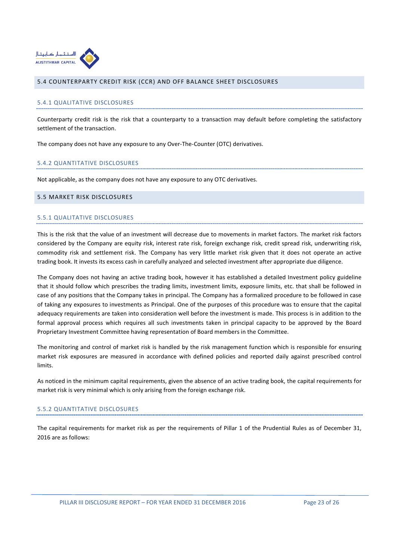

#### 5.4 COUNTERPARTY CREDIT RISK (CCR) AND OFF BALANCE SHEET DISCLOSURES

#### 5.4.1 QUALITATIVE DISCLOSURES

Counterparty credit risk is the risk that a counterparty to a transaction may default before completing the satisfactory settlement of the transaction.

The company does not have any exposure to any Over-The-Counter (OTC) derivatives.

#### 5.4.2 QUANTITATIVE DISCLOSURES

Not applicable, as the company does not have any exposure to any OTC derivatives.

#### 5.5 MARKET RISK DISCLOSURES

#### 5.5.1 QUALITATIVE DISCLOSURES

This is the risk that the value of an investment will decrease due to movements in market factors. The market risk factors considered by the Company are equity risk, interest rate risk, foreign exchange risk, credit spread risk, underwriting risk, commodity risk and settlement risk. The Company has very little market risk given that it does not operate an active trading book. It invests its excess cash in carefully analyzed and selected investment after appropriate due diligence.

The Company does not having an active trading book, however it has established a detailed Investment policy guideline that it should follow which prescribes the trading limits, investment limits, exposure limits, etc. that shall be followed in case of any positions that the Company takes in principal. The Company has a formalized procedure to be followed in case of taking any exposures to investments as Principal. One of the purposes of this procedure was to ensure that the capital adequacy requirements are taken into consideration well before the investment is made. This process is in addition to the formal approval process which requires all such investments taken in principal capacity to be approved by the Board Proprietary Investment Committee having representation of Board members in the Committee.

The monitoring and control of market risk is handled by the risk management function which is responsible for ensuring market risk exposures are measured in accordance with defined policies and reported daily against prescribed control limits.

As noticed in the minimum capital requirements, given the absence of an active trading book, the capital requirements for market risk is very minimal which is only arising from the foreign exchange risk.

#### 5.5.2 QUANTITATIVE DISCLOSURES

The capital requirements for market risk as per the requirements of Pillar 1 of the Prudential Rules as of December 31, 2016 are as follows: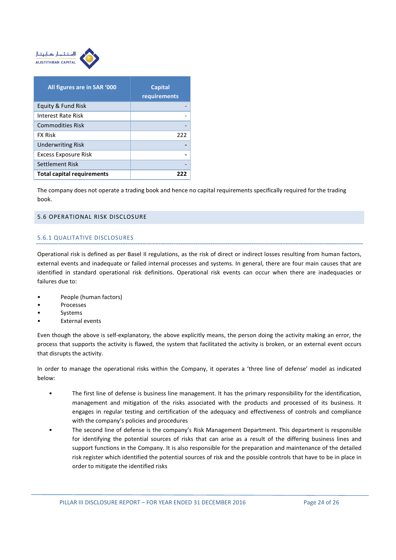

| All figures are in SAR '000       | <b>Capital</b><br>requirements |
|-----------------------------------|--------------------------------|
| Equity & Fund Risk                |                                |
| Interest Rate Risk                |                                |
| <b>Commodities Risk</b>           |                                |
| <b>FX Risk</b>                    | 222                            |
| <b>Underwriting Risk</b>          |                                |
| <b>Excess Exposure Risk</b>       |                                |
| Settlement Risk                   |                                |
| <b>Total capital requirements</b> |                                |

The company does not operate a trading book and hence no capital requirements specifically required for the trading book.

#### 5.6 OPERATIONAL RISK DISCLOSURE

## 5.6.1 QUALITATIVE DISCLOSURES

Operational risk is defined as per Basel II regulations, as the risk of direct or indirect losses resulting from human factors, external events and inadequate or failed internal processes and systems. In general, there are four main causes that are identified in standard operational risk definitions. Operational risk events can occur when there are inadequacies or failures due to:

- People (human factors)
- **Processes**
- **Systems**
- **External events**

Even though the above is self-explanatory, the above explicitly means, the person doing the activity making an error, the process that supports the activity is flawed, the system that facilitated the activity is broken, or an external event occurs that disrupts the activity.

In order to manage the operational risks within the Company, it operates a 'three line of defense' model as indicated below:

- The first line of defense is business line management. It has the primary responsibility for the identification, management and mitigation of the risks associated with the products and processed of its business. It engages in regular testing and certification of the adequacy and effectiveness of controls and compliance with the company's policies and procedures
- The second line of defense is the company's Risk Management Department. This department is responsible for identifying the potential sources of risks that can arise as a result of the differing business lines and support functions in the Company. It is also responsible for the preparation and maintenance of the detailed risk register which identified the potential sources of risk and the possible controls that have to be in place in order to mitigate the identified risks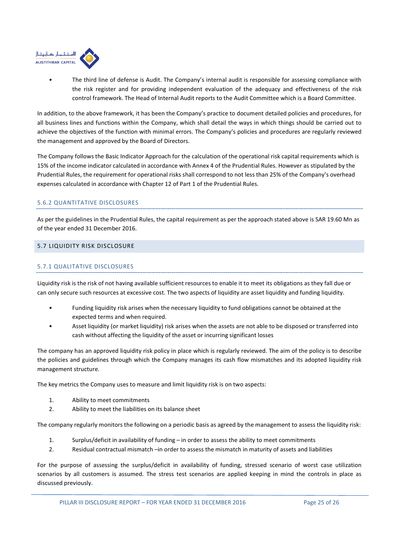

• The third line of defense is Audit. The Company's internal audit is responsible for assessing compliance with the risk register and for providing independent evaluation of the adequacy and effectiveness of the risk control framework. The Head of Internal Audit reports to the Audit Committee which is a Board Committee.

In addition, to the above framework, it has been the Company's practice to document detailed policies and procedures, for all business lines and functions within the Company, which shall detail the ways in which things should be carried out to achieve the objectives of the function with minimal errors. The Company's policies and procedures are regularly reviewed the management and approved by the Board of Directors.

The Company follows the Basic Indicator Approach for the calculation of the operational risk capital requirements which is 15% of the income indicator calculated in accordance with Annex 4 of the Prudential Rules. However as stipulated by the Prudential Rules, the requirement for operational risks shall correspond to not less than 25% of the Company's overhead expenses calculated in accordance with Chapter 12 of Part 1 of the Prudential Rules.

## 5.6.2 QUANTITATIVE DISCLOSURES

As per the guidelines in the Prudential Rules, the capital requirement as per the approach stated above is SAR 19.60 Mn as of the year ended 31 December 2016.

## 5.7 LIQUIDITY RISK DISCLOSURE

## 5.7.1 QUALITATIVE DISCLOSURES

Liquidity risk is the risk of not having available sufficient resources to enable it to meet its obligations as they fall due or can only secure such resources at excessive cost. The two aspects of liquidity are asset liquidity and funding liquidity.

- Funding liquidity risk arises when the necessary liquidity to fund obligations cannot be obtained at the expected terms and when required.
- Asset liquidity (or market liquidity) risk arises when the assets are not able to be disposed or transferred into cash without affecting the liquidity of the asset or incurring significant losses

The company has an approved liquidity risk policy in place which is regularly reviewed. The aim of the policy is to describe the policies and guidelines through which the Company manages its cash flow mismatches and its adopted liquidity risk management structure.

The key metrics the Company uses to measure and limit liquidity risk is on two aspects:

- 1. Ability to meet commitments
- 2. Ability to meet the liabilities on its balance sheet

The company regularly monitors the following on a periodic basis as agreed by the management to assess the liquidity risk:

- 1. Surplus/deficit in availability of funding in order to assess the ability to meet commitments
- 2. Residual contractual mismatch –in order to assess the mismatch in maturity of assets and liabilities

For the purpose of assessing the surplus/deficit in availability of funding, stressed scenario of worst case utilization scenarios by all customers is assumed. The stress test scenarios are applied keeping in mind the controls in place as discussed previously.